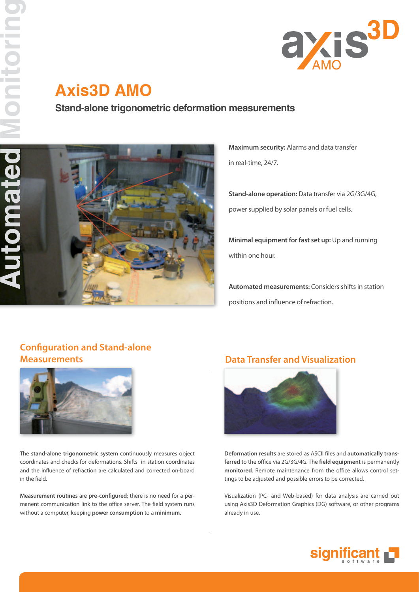

# **Axis3D AMO**

**Stand-alone trigonometric deformation measurements**



**Maximum security:** Alarms and data transfer in real-time, 24/7.

**Stand-alone operation:** Data transfer via 2G/3G/4G, power supplied by solar panels or fuel cells.

**Minimal equipment for fast set up:** Up and running within one hour.

**Automated measurements:** Considers shifts in station positions and influence of refraction.

# **Configuration and Stand-alone**



The **stand-alone trigonometric system** continuously measures object coordinates and checks for deformations. Shifts in station coordinates and the influence of refraction are calculated and corrected on-board in the field.

**Measurement routines** are **pre-configured**; there is no need for a permanent communication link to the office server. The field system runs without a computer, keeping **power consumption** to a **minimum.**

### **Measurements Data Transfer and Visualization**



**Deformation results** are stored as ASCII files and **automatically transferred** to the office via 2G/3G/4G. The **field equipment** is permanently **monitored**. Remote maintenance from the office allows control settings to be adjusted and possible errors to be corrected.

Visualization (PC- and Web-based) for data analysis are carried out using Axis3D Deformation Graphics (DG) software, or other programs already in use.